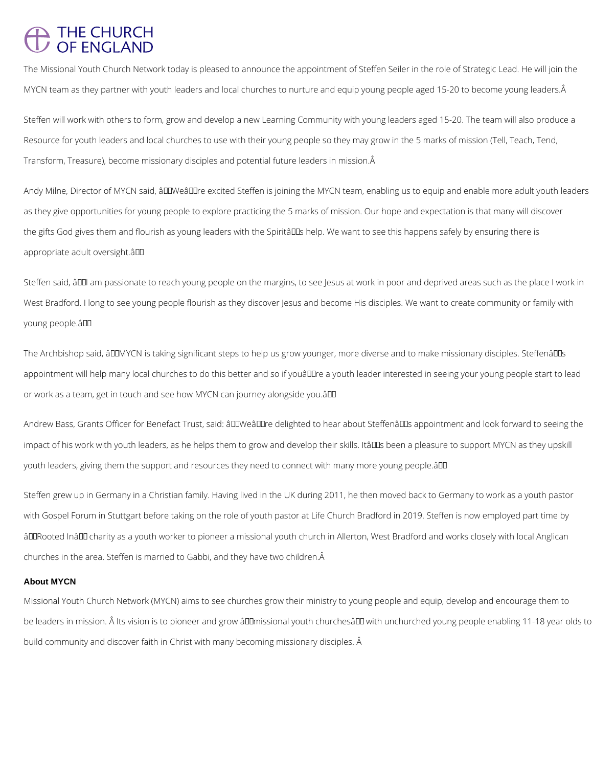## THE CHURCH<br>OF ENGLAND

The Missional Youth Church Network today is pleased to announce the appointment of Steffen Seiler in the role of Strategic Lead. He will join the MYCN team as they partner with youth leaders and local churches to nurture and equip young people aged 15-20 to become young leaders. Â

Steffen will work with others to form, grow and develop a new Learning Community with young leaders aged 15-20. The team will also produce a Resource for youth leaders and local churches to use with their young people so they may grow in the 5 marks of mission (Tell, Teach, Tend, Transform, Treasure), become missionary disciples and potential future leaders in mission.

Andy Milne, Director of MYCN said, âDDWeâDDre excited Steffen is joining the MYCN team, enabling us to equip and enable more adult youth leaders as they give opportunities for young people to explore practicing the 5 marks of mission. Our hope and expectation is that many will discover the gifts God gives them and flourish as young leaders with the Spiritâll as help. We want to see this happens safely by ensuring there is appropriate adult oversight.â

Steffen said, âIII am passionate to reach young people on the margins, to see Jesus at work in poor and deprived areas such as the place I work in West Bradford. I long to see young people flourish as they discover Jesus and become His disciples. We want to create community or family with young people.â

The Archbishop said, âDDMYCN is taking significant steps to help us grow younger, more diverse and to make missionary disciples. SteffenâDDs appointment will help many local churches to do this better and so if youâll leader interested in seeing your young people start to lead or work as a team, get in touch and see how MYCN can journey alongside you.â

Andrew Bass, Grants Officer for Benefact Trust, said: âDDWeâDDre delighted to hear about SteffenâDDs appointment and look forward to seeing the impact of his work with youth leaders, as he helps them to grow and develop their skills. Itâll as been a pleasure to support MYCN as they upskill youth leaders, giving them the support and resources they need to connect with many more young people.â

Steffen grew up in Germany in a Christian family. Having lived in the UK during 2011, he then moved back to Germany to work as a youth pastor with Gospel Forum in Stuttgart before taking on the role of youth pastor at Life Church Bradford in 2019. Steffen is now employed part time by âDDRooted InâDD charity as a youth worker to pioneer a missional youth church in Allerton, West Bradford and works closely with local Anglican churches in the area. Steffen is married to Gabbi, and they have two children.

## **About MYCN**

Missional Youth Church Network (MYCN) aims to see churches grow their ministry to young people and equip, develop and encourage them to

be leaders in mission. Â Its vision is to pioneer and grow âDDmissional youth churchesâDD with unchurched young people enabling 11-18 year olds to

build community and discover faith in Christ with many becoming missionary disciples. Â